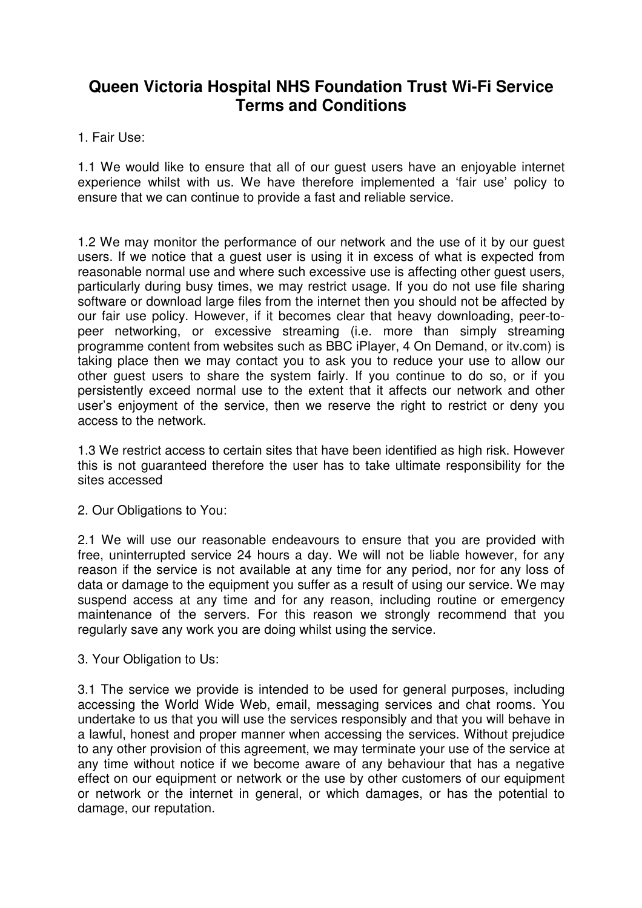# **Queen Victoria Hospital NHS Foundation Trust Wi-Fi Service Terms and Conditions**

1. Fair Use:

1.1 We would like to ensure that all of our guest users have an enjoyable internet experience whilst with us. We have therefore implemented a 'fair use' policy to ensure that we can continue to provide a fast and reliable service.

1.2 We may monitor the performance of our network and the use of it by our guest users. If we notice that a guest user is using it in excess of what is expected from reasonable normal use and where such excessive use is affecting other guest users, particularly during busy times, we may restrict usage. If you do not use file sharing software or download large files from the internet then you should not be affected by our fair use policy. However, if it becomes clear that heavy downloading, peer-topeer networking, or excessive streaming (i.e. more than simply streaming programme content from websites such as BBC iPlayer, 4 On Demand, or itv.com) is taking place then we may contact you to ask you to reduce your use to allow our other guest users to share the system fairly. If you continue to do so, or if you persistently exceed normal use to the extent that it affects our network and other user's enjoyment of the service, then we reserve the right to restrict or deny you access to the network.

1.3 We restrict access to certain sites that have been identified as high risk. However this is not guaranteed therefore the user has to take ultimate responsibility for the sites accessed

2. Our Obligations to You:

2.1 We will use our reasonable endeavours to ensure that you are provided with free, uninterrupted service 24 hours a day. We will not be liable however, for any reason if the service is not available at any time for any period, nor for any loss of data or damage to the equipment you suffer as a result of using our service. We may suspend access at any time and for any reason, including routine or emergency maintenance of the servers. For this reason we strongly recommend that you regularly save any work you are doing whilst using the service.

3. Your Obligation to Us:

3.1 The service we provide is intended to be used for general purposes, including accessing the World Wide Web, email, messaging services and chat rooms. You undertake to us that you will use the services responsibly and that you will behave in a lawful, honest and proper manner when accessing the services. Without prejudice to any other provision of this agreement, we may terminate your use of the service at any time without notice if we become aware of any behaviour that has a negative effect on our equipment or network or the use by other customers of our equipment or network or the internet in general, or which damages, or has the potential to damage, our reputation.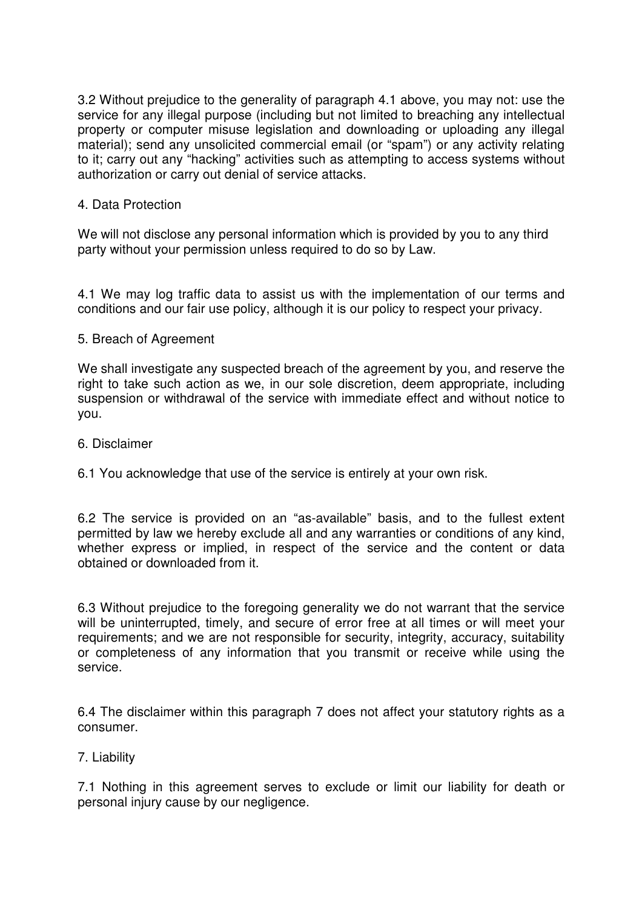3.2 Without prejudice to the generality of paragraph 4.1 above, you may not: use the service for any illegal purpose (including but not limited to breaching any intellectual property or computer misuse legislation and downloading or uploading any illegal material); send any unsolicited commercial email (or "spam") or any activity relating to it; carry out any "hacking" activities such as attempting to access systems without authorization or carry out denial of service attacks.

## 4. Data Protection

We will not disclose any personal information which is provided by you to any third party without your permission unless required to do so by Law.

4.1 We may log traffic data to assist us with the implementation of our terms and conditions and our fair use policy, although it is our policy to respect your privacy.

### 5. Breach of Agreement

We shall investigate any suspected breach of the agreement by you, and reserve the right to take such action as we, in our sole discretion, deem appropriate, including suspension or withdrawal of the service with immediate effect and without notice to you.

### 6. Disclaimer

### 6.1 You acknowledge that use of the service is entirely at your own risk.

6.2 The service is provided on an "as-available" basis, and to the fullest extent permitted by law we hereby exclude all and any warranties or conditions of any kind, whether express or implied, in respect of the service and the content or data obtained or downloaded from it.

6.3 Without prejudice to the foregoing generality we do not warrant that the service will be uninterrupted, timely, and secure of error free at all times or will meet your requirements; and we are not responsible for security, integrity, accuracy, suitability or completeness of any information that you transmit or receive while using the service.

6.4 The disclaimer within this paragraph 7 does not affect your statutory rights as a consumer.

### 7. Liability

7.1 Nothing in this agreement serves to exclude or limit our liability for death or personal injury cause by our negligence.